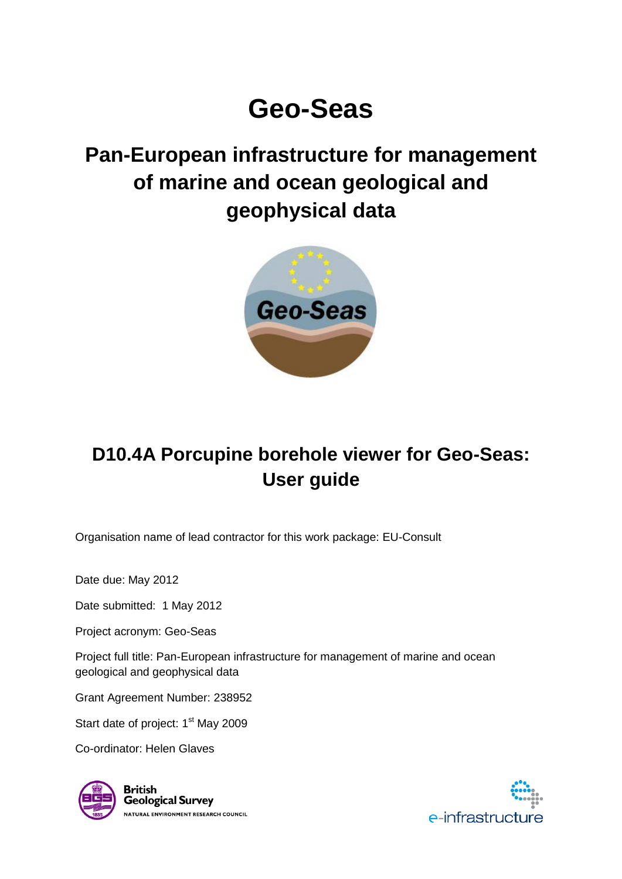# **Geo-Seas**

# **Pan-European infrastructure for management of marine and ocean geological and geophysical data**



# **D10.4A Porcupine borehole viewer for Geo-Seas: User guide**

Organisation name of lead contractor for this work package: EU-Consult

Date due: May 2012

Date submitted: 1 May 2012

Project acronym: Geo-Seas

Project full title: Pan-European infrastructure for management of marine and ocean geological and geophysical data

Grant Agreement Number: 238952

Start date of project: 1<sup>st</sup> May 2009

Co-ordinator: Helen Glaves



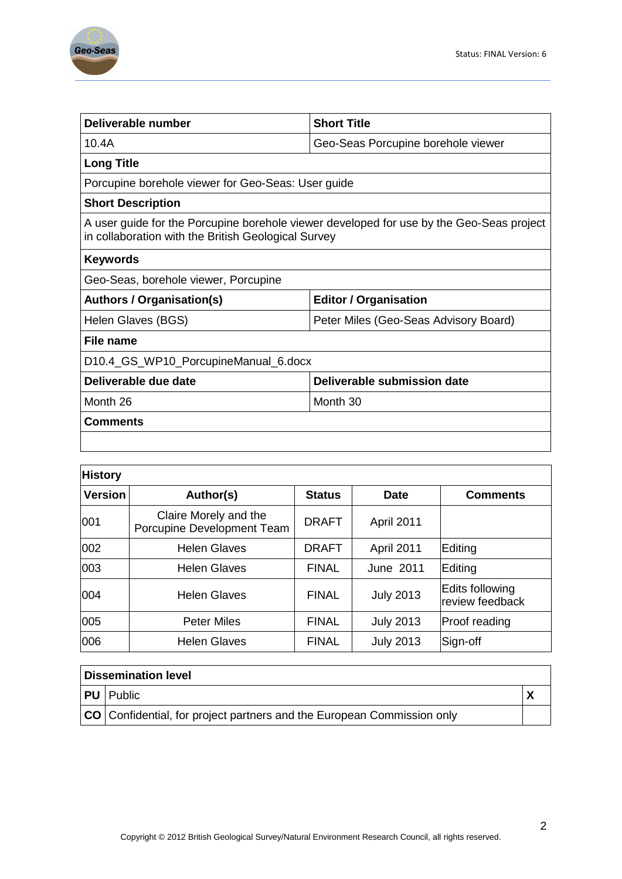

| Deliverable number                                                                                                                              | <b>Short Title</b>                    |  |  |
|-------------------------------------------------------------------------------------------------------------------------------------------------|---------------------------------------|--|--|
| 10.4A                                                                                                                                           | Geo-Seas Porcupine borehole viewer    |  |  |
| <b>Long Title</b>                                                                                                                               |                                       |  |  |
| Porcupine borehole viewer for Geo-Seas: User guide                                                                                              |                                       |  |  |
| <b>Short Description</b>                                                                                                                        |                                       |  |  |
| A user guide for the Porcupine borehole viewer developed for use by the Geo-Seas project<br>in collaboration with the British Geological Survey |                                       |  |  |
| <b>Keywords</b>                                                                                                                                 |                                       |  |  |
| Geo-Seas, borehole viewer, Porcupine                                                                                                            |                                       |  |  |
| <b>Editor / Organisation</b><br><b>Authors / Organisation(s)</b>                                                                                |                                       |  |  |
| Helen Glaves (BGS)                                                                                                                              | Peter Miles (Geo-Seas Advisory Board) |  |  |
| File name                                                                                                                                       |                                       |  |  |
| D10.4_GS_WP10_PorcupineManual_6.docx                                                                                                            |                                       |  |  |
| Deliverable due date<br>Deliverable submission date                                                                                             |                                       |  |  |
| Month 26                                                                                                                                        | Month 30                              |  |  |
| <b>Comments</b>                                                                                                                                 |                                       |  |  |
|                                                                                                                                                 |                                       |  |  |

| <b>History</b> |                                                     |               |                  |                                    |  |
|----------------|-----------------------------------------------------|---------------|------------------|------------------------------------|--|
| <b>Version</b> | Author(s)                                           | <b>Status</b> | <b>Date</b>      | <b>Comments</b>                    |  |
| 001            | Claire Morely and the<br>Porcupine Development Team | <b>DRAFT</b>  | April 2011       |                                    |  |
| 002            | <b>Helen Glaves</b>                                 | <b>DRAFT</b>  | April 2011       | Editing                            |  |
| 003            | <b>Helen Glaves</b>                                 | <b>FINAL</b>  | June 2011        | Editing                            |  |
| 004            | <b>Helen Glaves</b>                                 | <b>FINAL</b>  | <b>July 2013</b> | Edits following<br>review feedback |  |
| 005            | <b>Peter Miles</b>                                  | <b>FINAL</b>  | <b>July 2013</b> | Proof reading                      |  |
| 006            | <b>Helen Glaves</b>                                 | <b>FINAL</b>  | <b>July 2013</b> | Sign-off                           |  |

| <b>Dissemination level</b>                                                    |  |
|-------------------------------------------------------------------------------|--|
| <b>PU</b> Public                                                              |  |
| <b>CO</b> Confidential, for project partners and the European Commission only |  |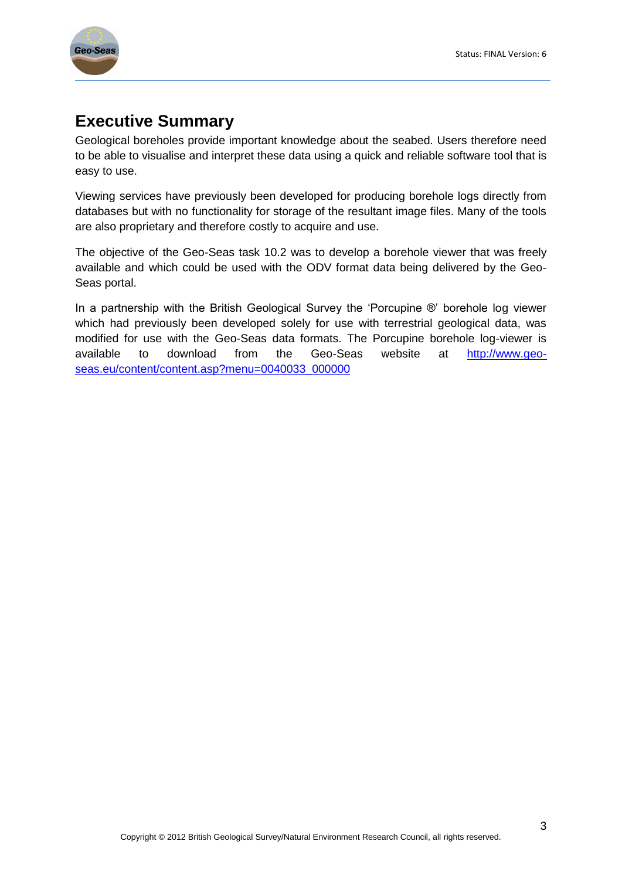

### <span id="page-2-0"></span>**Executive Summary**

Geological boreholes provide important knowledge about the seabed. Users therefore need to be able to visualise and interpret these data using a quick and reliable software tool that is easy to use.

Viewing services have previously been developed for producing borehole logs directly from databases but with no functionality for storage of the resultant image files. Many of the tools are also proprietary and therefore costly to acquire and use.

The objective of the Geo-Seas task 10.2 was to develop a borehole viewer that was freely available and which could be used with the ODV format data being delivered by the Geo-Seas portal.

In a partnership with the British Geological Survey the 'Porcupine ®' borehole log viewer which had previously been developed solely for use with terrestrial geological data, was modified for use with the Geo-Seas data formats. The Porcupine borehole log-viewer is available to download from the Geo-Seas website at [http://www.geo](http://www.geo-seas.eu/content/content.asp?menu=0040033_000000)[seas.eu/content/content.asp?menu=0040033\\_000000](http://www.geo-seas.eu/content/content.asp?menu=0040033_000000)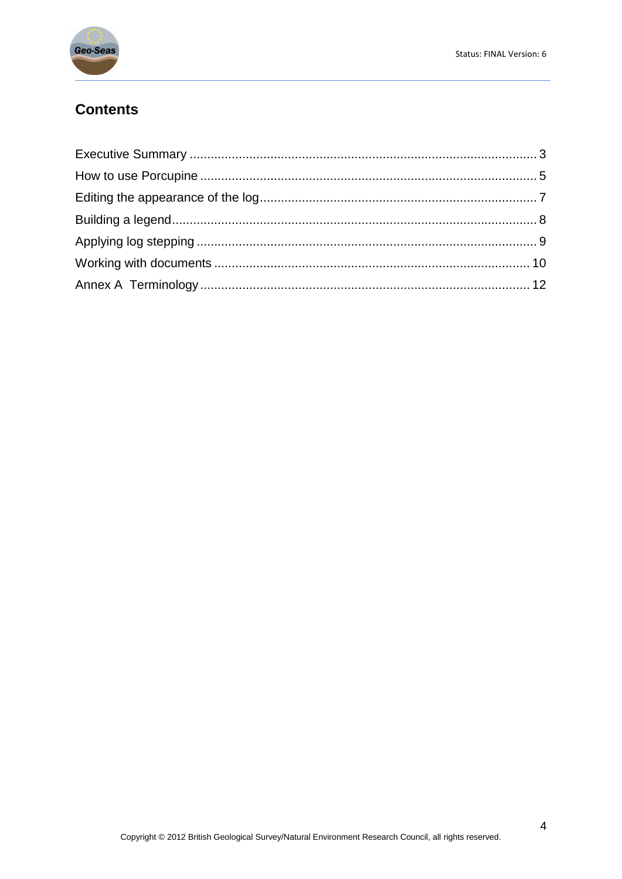

#### **Contents**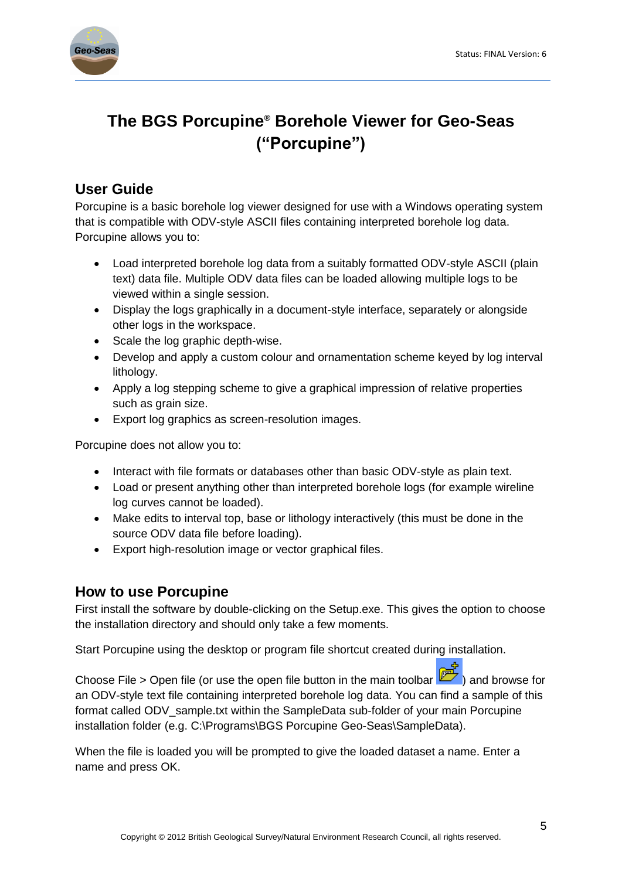

## **The BGS Porcupine® Borehole Viewer for Geo-Seas ("Porcupine")**

#### **User Guide**

Porcupine is a basic borehole log viewer designed for use with a Windows operating system that is compatible with ODV-style ASCII files containing interpreted borehole log data. Porcupine allows you to:

- Load interpreted borehole log data from a suitably formatted ODV-style ASCII (plain text) data file. Multiple ODV data files can be loaded allowing multiple logs to be viewed within a single session.
- Display the logs graphically in a document-style interface, separately or alongside other logs in the workspace.
- Scale the log graphic depth-wise.
- Develop and apply a custom colour and ornamentation scheme keyed by log interval lithology.
- Apply a log stepping scheme to give a graphical impression of relative properties such as grain size.
- Export log graphics as screen-resolution images.

Porcupine does not allow you to:

- Interact with file formats or databases other than basic ODV-style as plain text.
- Load or present anything other than interpreted borehole logs (for example wireline log curves cannot be loaded).
- Make edits to interval top, base or lithology interactively (this must be done in the source ODV data file before loading).
- Export high-resolution image or vector graphical files.

#### <span id="page-4-0"></span>**How to use Porcupine**

First install the software by double-clicking on the Setup.exe. This gives the option to choose the installation directory and should only take a few moments.

Start Porcupine using the desktop or program file shortcut created during installation.

Choose File > Open file (or use the open file button in the main toolbar  $\Box$ ) and browse for an ODV-style text file containing interpreted borehole log data. You can find a sample of this format called ODV\_sample.txt within the SampleData sub-folder of your main Porcupine installation folder (e.g. C:\Programs\BGS Porcupine Geo-Seas\SampleData).

When the file is loaded you will be prompted to give the loaded dataset a name. Enter a name and press OK.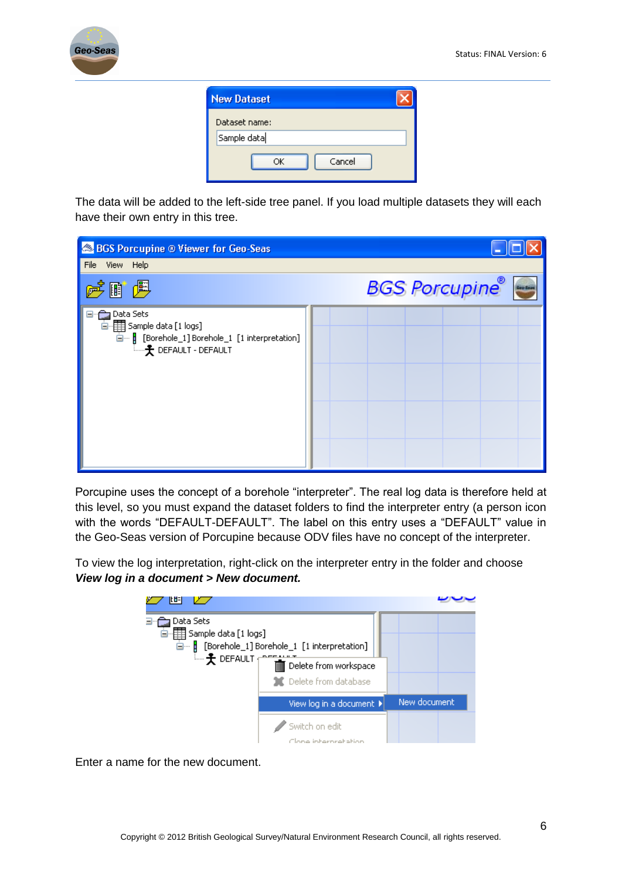

| <b>New Dataset</b>           |  |
|------------------------------|--|
| Dataset name:<br>Sample data |  |
| Cancel<br>ОK                 |  |

The data will be added to the left-side tree panel. If you load multiple datasets they will each have their own entry in this tree.

| BGS Porcupine ® Viewer for Geo-Seas                                                                                         |                      |
|-----------------------------------------------------------------------------------------------------------------------------|----------------------|
| File<br>View Help                                                                                                           |                      |
| 個                                                                                                                           | <b>BGS Porcupine</b> |
| Data Sets<br>百 - 田 Sample data [1 logs]<br>□…   [Borehole_1] Borehole_1 [1 interpretation]<br><b>L.</b> • DEFAULT - DEFAULT |                      |

Porcupine uses the concept of a borehole "interpreter". The real log data is therefore held at this level, so you must expand the dataset folders to find the interpreter entry (a person icon with the words "DEFAULT-DEFAULT". The label on this entry uses a "DEFAULT" value in the Geo-Seas version of Porcupine because ODV files have no concept of the interpreter.

To view the log interpretation, right-click on the interpreter entry in the folder and choose *View log in a document > New document.*

| Data Sets<br>G. His Sample data [1 logs] | E. Borehole_1] Borehole_1 [1 interpretation]  |              |
|------------------------------------------|-----------------------------------------------|--------------|
| 一子 DEFAULT                               | Delete from workspace<br>Delete from database |              |
|                                          | View log in a document >                      | New document |
|                                          | Switch on edit<br>Clone internretation        |              |

Enter a name for the new document.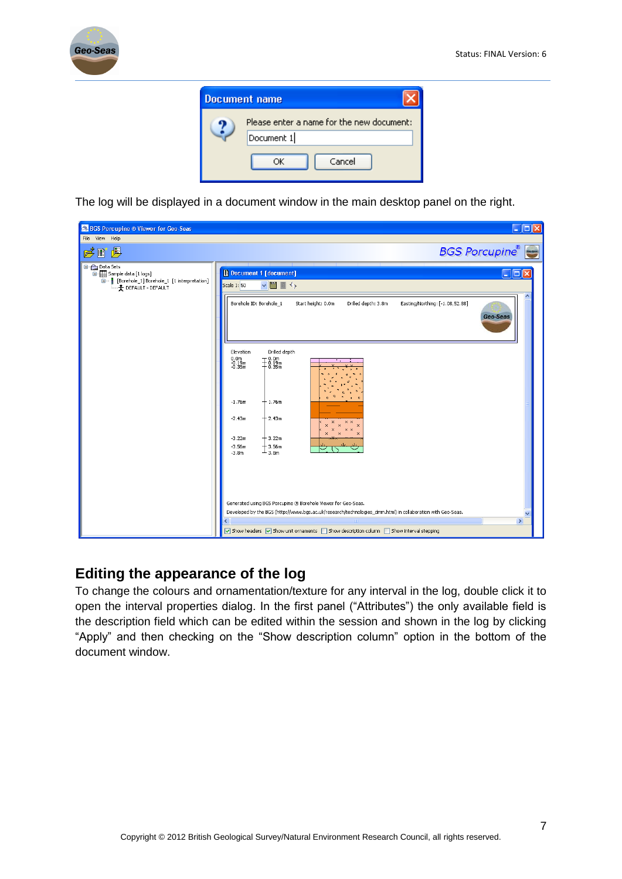



The log will be displayed in a document window in the main desktop panel on the right.

| <b>BGS Porcupine @ Viewer for Geo-Seas</b>                                                                        | $\Box$ o $\times$                                                                                                                                                                                                                                                                                                                                                                                                                                         |
|-------------------------------------------------------------------------------------------------------------------|-----------------------------------------------------------------------------------------------------------------------------------------------------------------------------------------------------------------------------------------------------------------------------------------------------------------------------------------------------------------------------------------------------------------------------------------------------------|
| File View Help                                                                                                    |                                                                                                                                                                                                                                                                                                                                                                                                                                                           |
| $\mathbb{P}^2$<br>偶<br>$\mathbb{R}^*$                                                                             | <b>BGS Porcupine</b>                                                                                                                                                                                                                                                                                                                                                                                                                                      |
| <b>E</b> Data Sets<br>Sample data [1 logs]<br>E [Borehole_1] Borehole_1 [1 interpretation]<br>+ DEFAULT - DEFAULT | <b>Document 1 [document]</b><br>$\blacksquare$<br>Scale 1: 50<br>$\vee$<br>Borehole ID: Borehole 1<br>Start height: 0.0m<br>Drilled depth: 3.8m<br>Easting/Northing: [-1.08,52.88]<br>Geo-Seas<br>Drilled depth<br>Elevation<br>0.0m<br>-0.19m<br>-0.35m<br>$\mp \substack{0.0 \text{m} \\ 0.19 \text{m} \\ 0.35 \text{m}}$<br>$-1.76m$<br>$+$ 1.76m<br>$-2.43m$<br>$+$ 2.43m<br>$+$ 3.22m<br>$-3.22m$<br>$-3.56m$<br>$-3.56m$<br>$\perp$ 3.8m<br>$-3.8m$ |
|                                                                                                                   | Generated using BGS Porcupine ® Borehole Viewer for Geo-Seas.<br>Developed by the BGS (http://www.bgs.ac.uk/research/technologies_dmm.html) in collaboration with Geo-Seas.<br>$\,$<br>c                                                                                                                                                                                                                                                                  |
|                                                                                                                   | ○ Show headers ○ Show unit ornaments ○ Show description column □ Show interval stepping                                                                                                                                                                                                                                                                                                                                                                   |

#### <span id="page-6-0"></span>**Editing the appearance of the log**

To change the colours and ornamentation/texture for any interval in the log, double click it to open the interval properties dialog. In the first panel ("Attributes") the only available field is the description field which can be edited within the session and shown in the log by clicking "Apply" and then checking on the "Show description column" option in the bottom of the document window.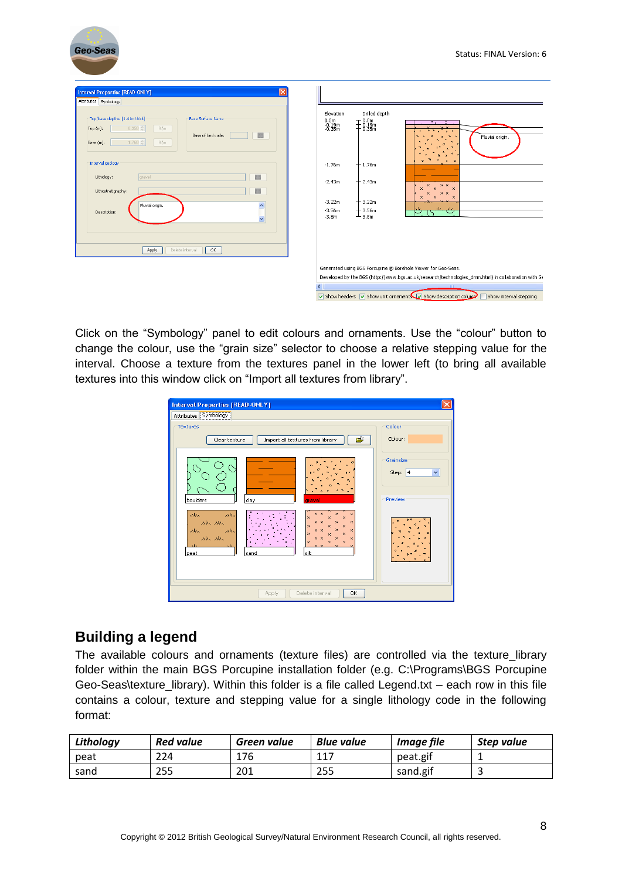| <b>Geo-Seas</b>                                                                                                                                                    |                                                                                | Status: FINAL Version: 6                                                                                     |
|--------------------------------------------------------------------------------------------------------------------------------------------------------------------|--------------------------------------------------------------------------------|--------------------------------------------------------------------------------------------------------------|
| ⊠<br>Interval Properties [READ-ONLY]                                                                                                                               |                                                                                |                                                                                                              |
| Attributes Symbology                                                                                                                                               |                                                                                |                                                                                                              |
| Top/base depths [1.41m thick]<br>Base Surface Name<br>ft/in<br>$Top(m)$ :<br>$0.350 \div$<br>圓<br>Base of bed code:<br>$1.760$ $\textdegree$<br>ft/in<br>Base (m): | Drilled depth<br>Elevation<br>0.0m<br>-0.19m<br>-0.35m<br>$\mp^{0.0m}_{0.19m}$ | Fluvial origin.                                                                                              |
| Interval geology<br>圓<br>Lithology:<br>gravel                                                                                                                      | $-1.76m$<br>$+1.76m$<br>$+2.43m$<br>$-2.43m$                                   | $\bullet$<br>$\times$ $\times$<br>$\times$                                                                   |
| 圓<br>Lithostratigraphy:<br>$\overline{\phantom{a}}$<br>Fluvial origin.<br>Description:<br>$\vee$                                                                   | $+3.22m$<br>$-3.22m$<br>$-3.56m$<br>$+3.56m$<br>$-3.8m$<br>$-3.8m$             | $\pmb{\times}$<br>$\times$ $\times$<br>$\times$                                                              |
| Delete interval<br>OK<br>Apply                                                                                                                                     |                                                                                |                                                                                                              |
|                                                                                                                                                                    | Generated using BGS Porcupine ® Borehole Viewer for Geo-Seas.                  |                                                                                                              |
|                                                                                                                                                                    | ∢                                                                              | Developed by the BGS (http://www.bgs.ac.uk/research/technologies_dmm.html) in collaboration with Ge<br>_____ |

□ Show headers □ Show unit ornaments □ Show description column □ Show interval stepping

Click on the "Symbology" panel to edit colours and ornaments. Use the "colour" button to change the colour, use the "grain size" selector to choose a relative stepping value for the interval. Choose a texture from the textures panel in the lower left (to bring all available textures into this window click on "Import all textures from library".

| <b>Interval Properties [READ-ONLY]</b>                                                                                                                                                                                                                                                                                                                                   |                                         |
|--------------------------------------------------------------------------------------------------------------------------------------------------------------------------------------------------------------------------------------------------------------------------------------------------------------------------------------------------------------------------|-----------------------------------------|
| Attributes Symbology                                                                                                                                                                                                                                                                                                                                                     |                                         |
| Textures<br>É<br>Import all textures from library<br>Clear texture                                                                                                                                                                                                                                                                                                       | Colour<br>Colour:                       |
|                                                                                                                                                                                                                                                                                                                                                                          | Grainsize<br>Step: $ 4$<br>×<br>Preview |
| boulders<br>clay<br>aravel<br>$M_{\odot}$<br>$M\alpha$<br>$\times$ $\times$<br>×<br>$\times$<br>×<br>×<br>adzi, adzi,<br>$\times$ $\times$<br>$\times$<br>×<br>$\times$<br>×<br>الملاب<br>Alta<br>×<br>$\times$<br>$\times$ $\times$<br>×<br>$\times$<br>×<br>المعلمي لمعلمي<br>$\times$<br>$\boldsymbol{\times}$<br>x x<br>×<br>$\times$<br>على<br>silt<br>peat<br>sand |                                         |
| Delete interval<br>OK<br>Apply                                                                                                                                                                                                                                                                                                                                           |                                         |

#### <span id="page-7-0"></span>**Building a legend**

The available colours and ornaments (texture files) are controlled via the texture\_library folder within the main BGS Porcupine installation folder (e.g. C:\Programs\BGS Porcupine Geo-Seas\texture library). Within this folder is a file called Legend.txt – each row in this file contains a colour, texture and stepping value for a single lithology code in the following format:

| Lithology | <b>Red value</b> | Green value | <b>Blue value</b> | <b>Image file</b> | Step value |
|-----------|------------------|-------------|-------------------|-------------------|------------|
| peat      | 224              | 176         | 117<br>ᅩᅩ         | peat.gif          |            |
| sand      | 255              | 201         | 255               | sand.gif          | ٮ          |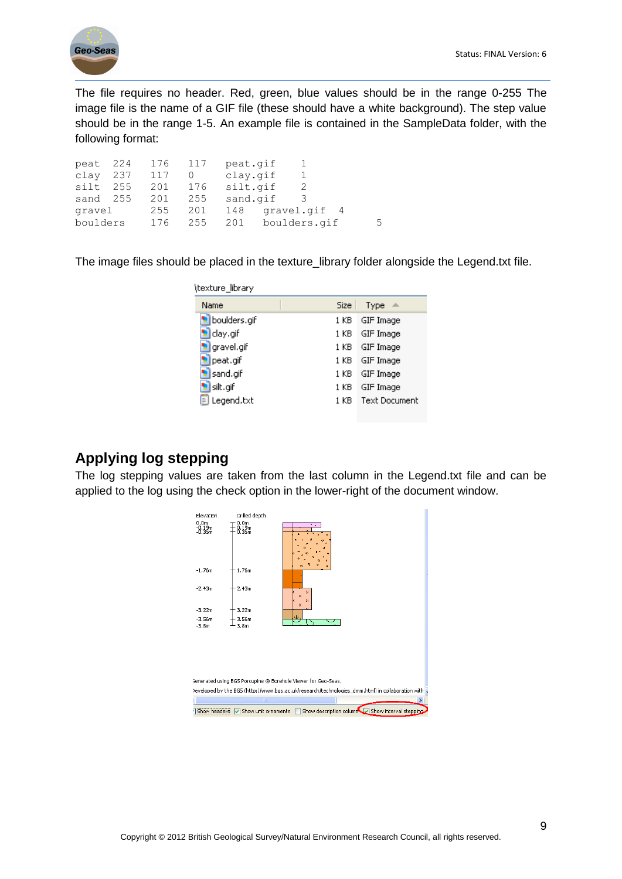

The file requires no header. Red, green, blue values should be in the range 0-255 The image file is the name of a GIF file (these should have a white background). The step value should be in the range 1-5. An example file is contained in the SampleData folder, with the following format:

| peat 224 | 176 | 117 | peat.gif         |   |
|----------|-----|-----|------------------|---|
| clay 237 | 117 |     | clay.gif         |   |
| silt 255 | 201 | 176 | silt.gif         |   |
| sand 255 | 201 | 255 | sand.gif         |   |
| gravel   | 255 | 201 | 148 gravel.gif 4 |   |
| boulders | 176 | 255 | 201 boulders.gif | 5 |

The image files should be placed in the texture\_library folder alongside the Legend.txt file.

| (texture_library |       |                      |
|------------------|-------|----------------------|
| Name             | Size: | <b>Type</b>          |
| boulders.gif     | 1 KB  | GIF Image            |
| clay.gif         | 1 KB  | GIF Image            |
| gravel.gif       | 1 KB. | GIF Image            |
| peat.gif         | 1 KB  | GIF Image            |
| sand.gif         | 1 KB  | GIF Image            |
| silt.gif         | 1 KB  | GIF Image            |
| Legend.txt       | 1 KB  | <b>Text Document</b> |
|                  |       |                      |

#### <span id="page-8-0"></span>**Applying log stepping**

The log stepping values are taken from the last column in the Legend.txt file and can be applied to the log using the check option in the lower-right of the document window.

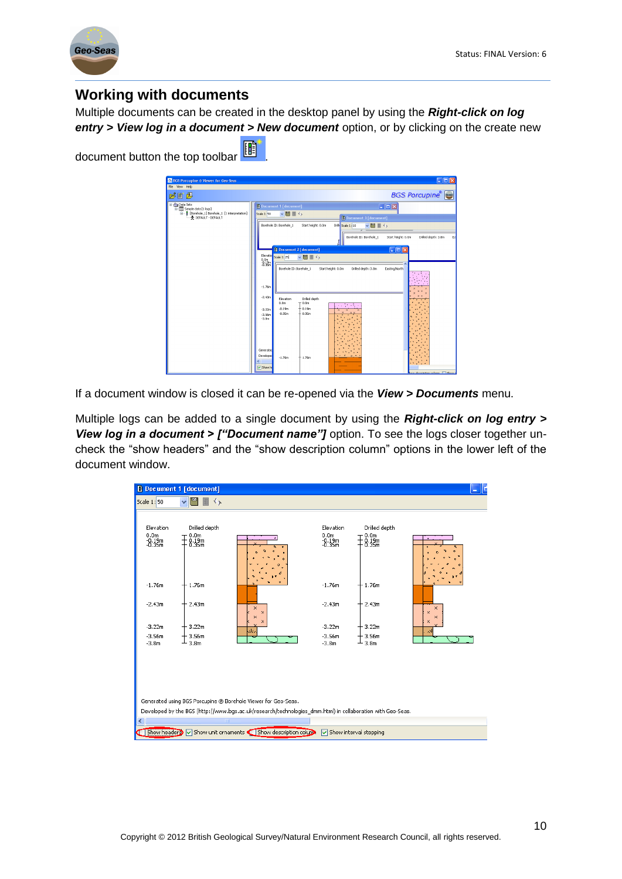

#### <span id="page-9-0"></span>**Working with documents**

Multiple documents can be created in the desktop panel by using the *Right-click on log entry > View log in a document > New document* option, or by clicking on the create new



document button the top toolbar

If a document window is closed it can be re-opened via the *View > Documents* menu.

Multiple logs can be added to a single document by using the *Right-click on log entry > View log in a document > ["Document name"]* option. To see the logs closer together uncheck the "show headers" and the "show description column" options in the lower left of the document window.

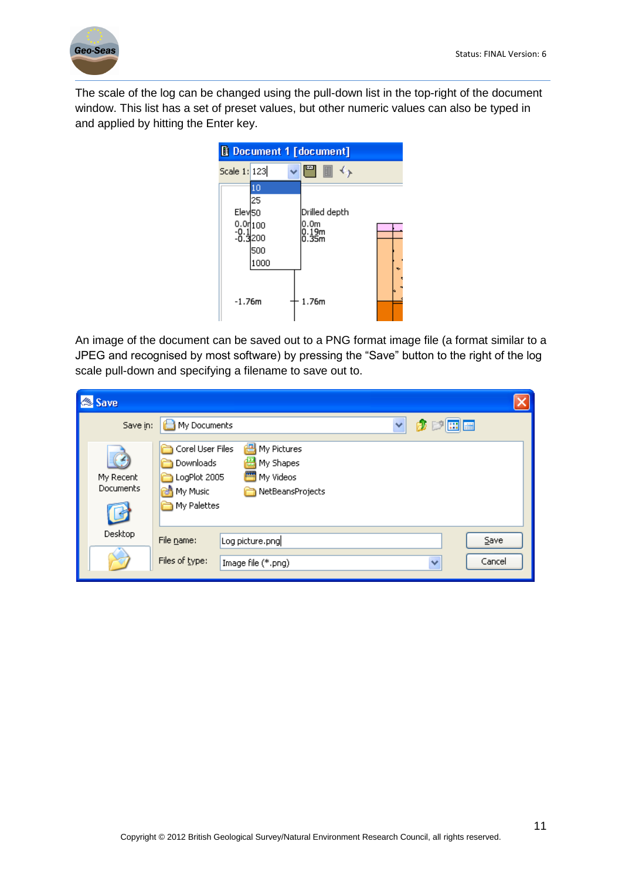

The scale of the log can be changed using the pull-down list in the top-right of the document window. This list has a set of preset values, but other numeric values can also be typed in and applied by hitting the Enter key.



An image of the document can be saved out to a PNG format image file (a format similar to a JPEG and recognised by most software) by pressing the "Save" button to the right of the log scale pull-down and specifying a filename to save out to.

| Save                   |                                                                                                                                                           |
|------------------------|-----------------------------------------------------------------------------------------------------------------------------------------------------------|
| Save in:               | My Documents<br>田岡<br>×                                                                                                                                   |
| My Recent<br>Documents | 꼰<br>Corel User Files<br>My Pictures<br>My Shapes<br>Downloads<br>m<br>My Videos<br>LogPlot 2005<br><b>Po</b> My Music<br>NetBeansProjects<br>My Palettes |
| Desktop                | Save<br>File name:<br>Log picture.png<br>Files of type:<br>Cancel<br>v<br>Image file (*.png)                                                              |